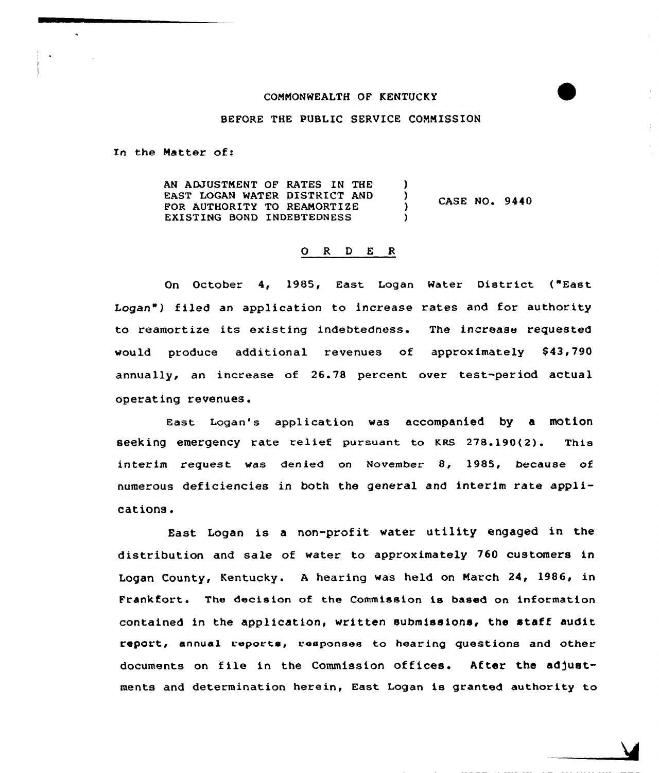#### CONNONWEALTH OF KENTUCKY

BEFORE THE PUBLIC SERVICE COMMISSION

In the Matter of:

AN ADJUSTMENT OF RATES IN THE EAST LOGAN WATER DISTRICT AND CASE NO. 9440 FOR AUTHORITY TO REAMORTIZE EXISTING BOND INDEBTEDNESS

### 0 <sup>R</sup> <sup>D</sup> E <sup>R</sup>

On October 4, 1985, East Logan Water District ("East Logan") filed an application to increase rates and for authority to reamortize its existing indebtedness. The increase requested would produce additional revenues of approximately \$43,790 annually, an increase of 26.78 percent over test-period actual operating revenues.

East. Logan's application was accompanied by a motion seeking emergency rate relief pursuant to KRs 278.190(2). This interim request was denied on November 8, 1985, because of numerous deficiencies in both the general and interim rate applications.

East Logan is a non-profit water utility engaged in the distribution and sale cf water to approximately 760 customers in Logan County, Kentucky. A hearing was held on March 24, 1986, in Frankfort. The decision of the Commission is based on information contained in the application, written submissions, the staff audit report, annual reports, responses to hearing questions and other documents on file in the Commission offices. After the adjustments and determination herein, East Logan is granted authority to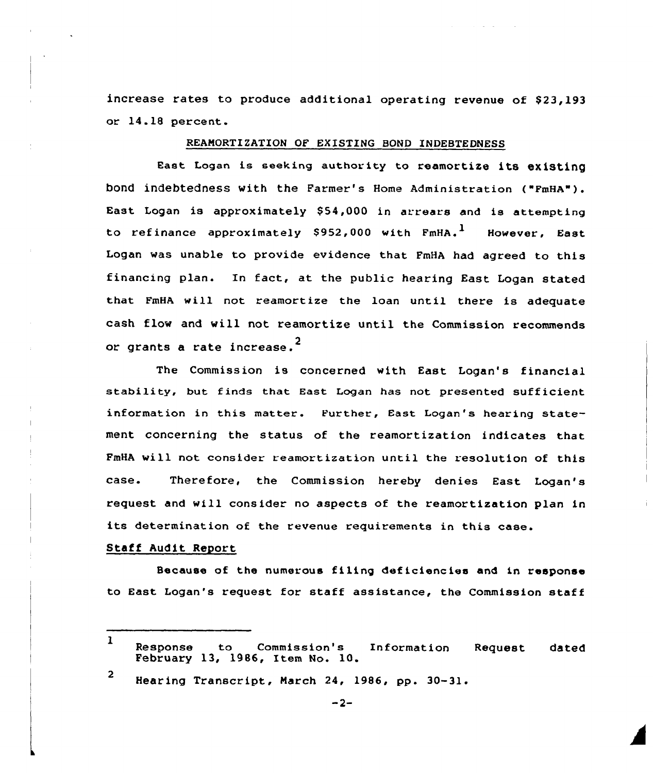increase rates to produce additional operating revenue of  $$23.193$ or 14.18 percent.

#### REAMORTIZATION OF EXISTING BOND INDEBTEDNESS

East Logan is seeking authority to reamortize its existing bond indebtedness with the Farmer's Home Administration ("FmHA"). East Logan is approximately \$54,000 in arrears and is attempting to refinance approximately \$952,000 with  $FmHA.$ <sup>1</sup> However. East Logan was unable to provide evidence that FmHA had agreed to this financing plan. In fact, at the public hearing East Logan stated that FmHA will not reamortize the loan until there is adequate cash flow and will not reamortize until the Commission recommends or grants a rate increase. $^{\text{2}}$ 

The Commission is concerned with East Logan's financial stability, but finds that East Logan has not presented sufficient information in this matter. Further, East Logan's hearing statement concerning the status of the reamortization indicates that FmHA will not consider reamortization until the resolution of this case. Therefore, the Commission hereby denies East Logan's request and will consider no aspects of the reamortization plan in its determination of the revenue requirements in this case.

## Staff Audit Report

Because of the numerous filing def iciencies and in response to East Logan's request for staff assistance, the Commission staff

<sup>1</sup> Response to Commission's Information Request dated February 13, 1986, Item No. 10.

<sup>2</sup> Hearing Transcript, March 24, 1986, pp. 30-31.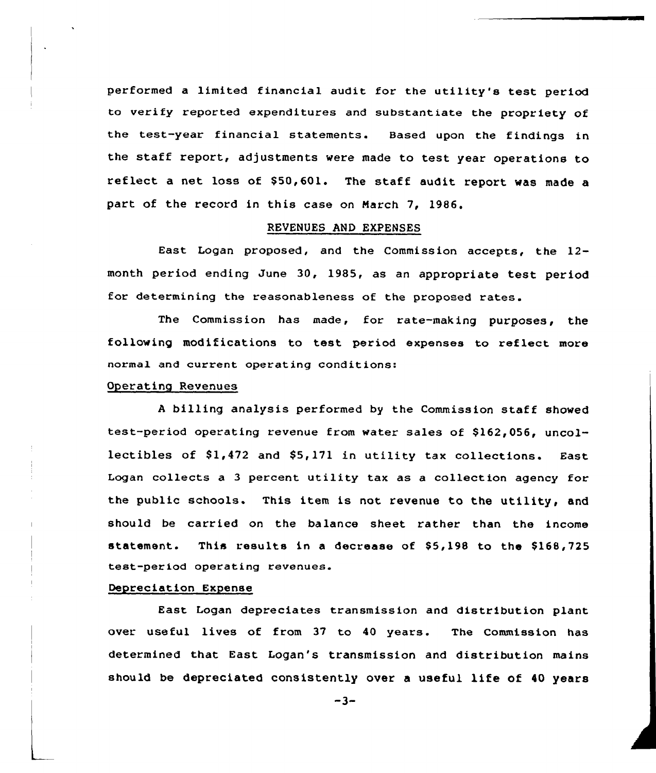performed a limited financial audit for the utility's test period to verify reported expenditures and substantiate the propriety of the test-year financial statements. Based upon the findings in the staff report, adjustments were made to test year operations to reflect a net loss of \$50,601. The staff audit report was made a part of the record in this case on Narch 7, 1986.

## REVENUES AND EXPENSES

East Logan proposed, and the Commission accepts, the 12 month period ending June 30, 1985, as an appropriate test period for determining the reasonableness of the proposed rates.

The Commission has made, for rate-making purposes, the following modifications to test period expenses to reflect more normal and current operating conditions:

### Operating Revenues

<sup>A</sup> billing analysis performed by the Commission staff showed test-period operating revenue from water sales of \$162,056, uncollectibles of 81,472 and \$5,171 in utility tax collections. East Logan collects a 3 percent utility tax as a collection agency for the public schools. This item is not revenue to the utility, and should be carried on the balance sheet rather than the income statement. This results in a decrease of \$5,198 to the \$168,725 test-period operating revenues.

#### Depreciation Expense

East Logan depreciates transmission and distribution plant over useful lives of from 37 to 40 years. The Commission has determined that East Logan's transmission and distribution mains should be depreciated consistently over <sup>a</sup> useful life of <sup>40</sup> years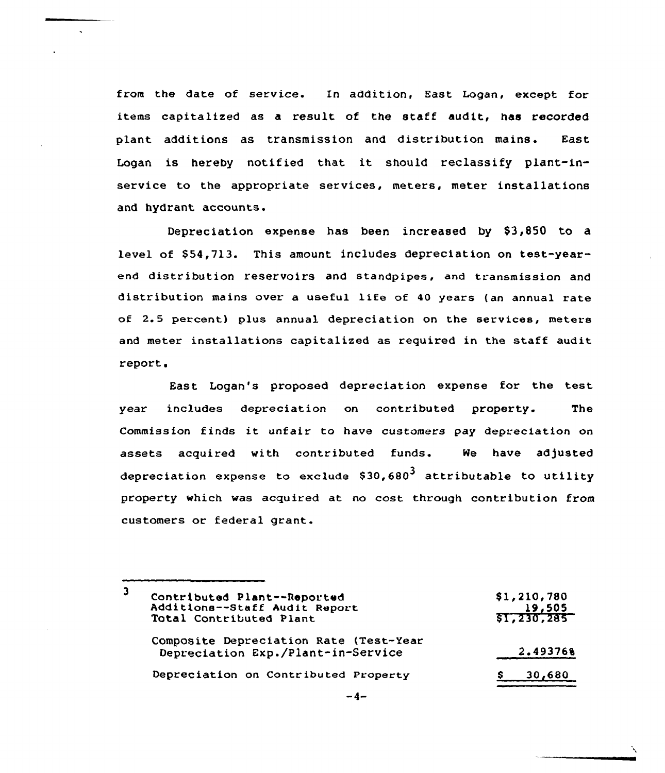from the date of service. In addition, East Logan, except for items capitalized as a result of the staff audit, has recorded plant additions as transmission and distribution mains. East Logan is hereby notified that it should reclassify plant-inservice to the appropriate services, meters, meter installations and hydrant accounts.

Depreciation expense has been increased by \$3,850 to a level of \$54,713. This amount includes depreciation on test-yearend distribution reservoirs and standpipes, and transmission and distribution mains over <sup>a</sup> useful life of <sup>40</sup> years {an annual rate of 2.5 percent) plus annual depreciation on the services, meters and meter installations capitalized as required in the staff audit report.

East Logan's proposed depreciation expense for the test year includes depreciation on contributed property. The Commission finds it unfair to have customers pay depreciation on assets acquired with contributed funds. We have adjusted depreciation expense to exclude  $$30,680<sup>3</sup>$  attributable to utility property which was acquired at no cost through contribution from customers or federal grant.

| 19,505<br>\$1,230,285 |
|-----------------------|
| 2.493768              |
| 30,680                |
|                       |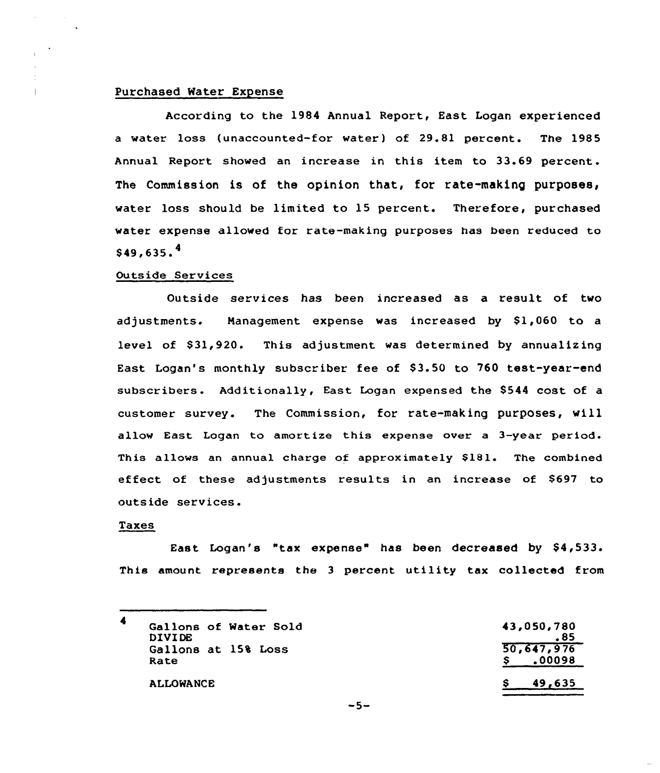# Purchased Mater Expense

According to the 1984 Annual Report, East Logan experienced a water loss (unaccounted-for water) of 29.81 percent. The 1985 Annual Report showed an increase in this item to 33.69 percent. The Commission is of the opinion that, for rate-making purposes, water loss should be limited to 15 percent. Therefore, purchased water expense allowed for rate-making purposes has been reduced to  $$49,635.^4$ 

#### Outside Services

Outside services has been increased as a result of two adjustments. Management expense was increased by \$1,060 to a level of \$31,920. This adjustment was determined by annualizing East Logan's monthly subscriber fee of \$3.50 to 760 test-year-end subscribers. Additionally, East Logan expensed the \$544 cost of a customer survey. The Commission, for rate-making purposes, vill allow East Logan to amortize this expense over a 3-year period. This allows an annual charge of approximately \$181. The combined effect of these adjustments results in an incre<mark>as</mark>e of \$697 to outside services.

# Taxes

East Logan's "tax expense" has been decreased by \$4,533. This amount represents the <sup>3</sup> percent utility tax collected from

| Gallons of Water Sold<br><b>DIVIDE</b> | 43,050,780           |
|----------------------------------------|----------------------|
| Gallons at 15% Loss<br>Rate            | 50,647,976<br>.00098 |
| <b>ALLOWANCE</b>                       | 49.635               |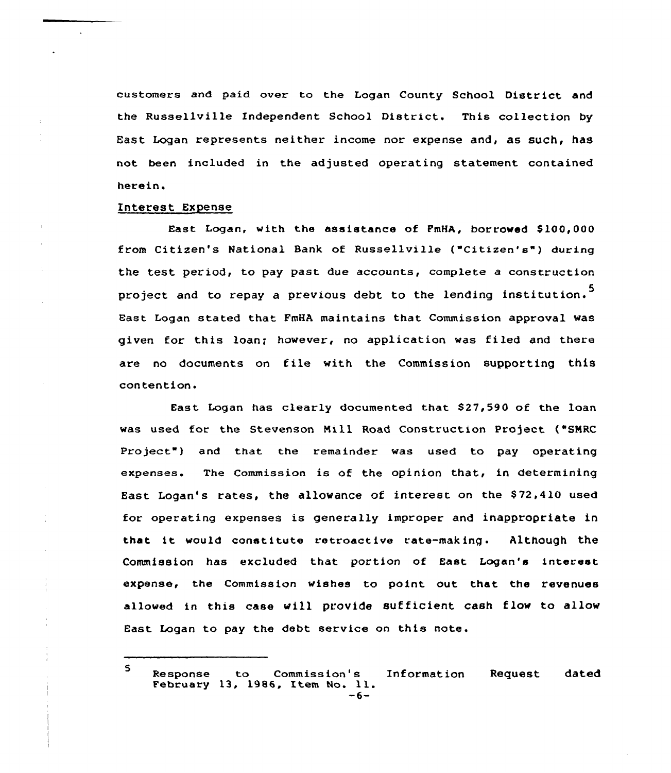customers and paid over to the Logan County School District and the Russellville Independent School District, This collection by East Logan represents neither income nor expense and, as such, has not been included in the adjusted operating statement contained herein.

### Interest Expense

East Logan, with the assistance of FmHA, borrowed \$ 100,000 from Citizen's National Bank of Russellville ("Citizen's") during the test period, to pay past due accounts, complete a construction project and to repay a previous debt to the lending institution.<sup>5</sup> Bast Logan stated that FmHA maintains that Commission approval was given for this loan; however, no application was fi led and there are no documents on file with the Commission supporting this contention.

East Logan has clearly documented that \$27,590 of the loan was used for the Stevenson Mill Road Construction project ("SNRC Project") and that the remainder was used to pay operating expenses. The Commission is of the opinion that, in determining East Logan's rates, the allowance of interest on the \$ 72,4l0 used for operating expenses is generally improper and inappropriate in that it would constitute retroactive rate-making. Although the Commission has excluded that portion of East Logan's interest expense, the Commission wishes to point out that the revenues allowed in this case will provide sufficient cash flow to allow East Logan to pay the debt service on this note.

<sup>5</sup> Response to Commission ' Information Request dated February 13, 1986, Item No. 11.  $-6-$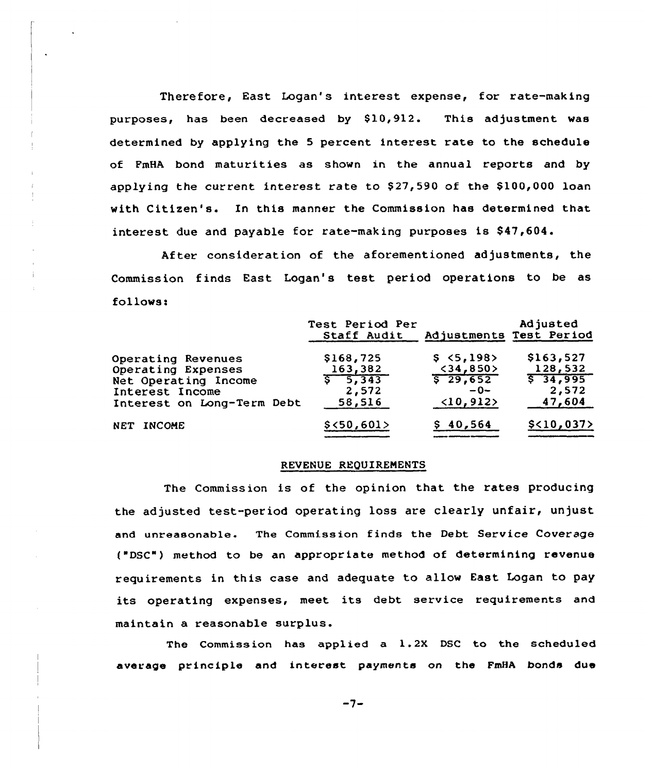Therefore, East Logan's interest expense, for rate-making purposes, has been decreased by \$10,912. This adjustment was determined by applying the <sup>5</sup> percent interest rate to the schedule of PmHA bond maturities as shown in the annual reports and by applying the current interest rate to  $$27,590$  of the  $$100,000$  loan with Citizen's. In this manner the Commission has determined that interest due and payable for rate-making purposes is \$47,604.

After consideration of the aforementioned adjustments, the Commission finds East Logan's test period operations to be as follows:

|                            | Test Period Per<br>Staff Audit |                           | Adjusted<br>Adjustments Test Period |
|----------------------------|--------------------------------|---------------------------|-------------------------------------|
| Operating Revenues         | \$168,725                      | \$5,198                   | \$163,527                           |
| Operating Expenses         | 163,382                        | $<$ 34,850>               | 128,532                             |
| Net Operating Income       | 5, 343                         | $5\ 29,652$               | $5\overline{34,995}$                |
| Interest Income            | 2,572                          | $-0-$                     | 2,572                               |
| Interest on Long-Term Debt | 58,516                         | $\langle 10, 912 \rangle$ | 47,604                              |
| NET INCOME                 | \$<50,601>                     | \$40,564                  | \$<10,037>                          |

#### REVENUE REQUIREMENTS

The Commission is of the opinion that the rates producing the adjusted test-period operating loss are clearly unfair, unjust and unreasonable. The Commission finds the Debt Service Coverage ("DSC") method to be an appropriate method of determining revenue requirements in this case and adequate to allow East Logan to pay its operating expenses, meet its debt service requirements and maintain a reasonable surplus.

The Commission has applied a 1.2X DSC to the scheduled average principle and interest payments on the FmHA bonds due

 $-7-$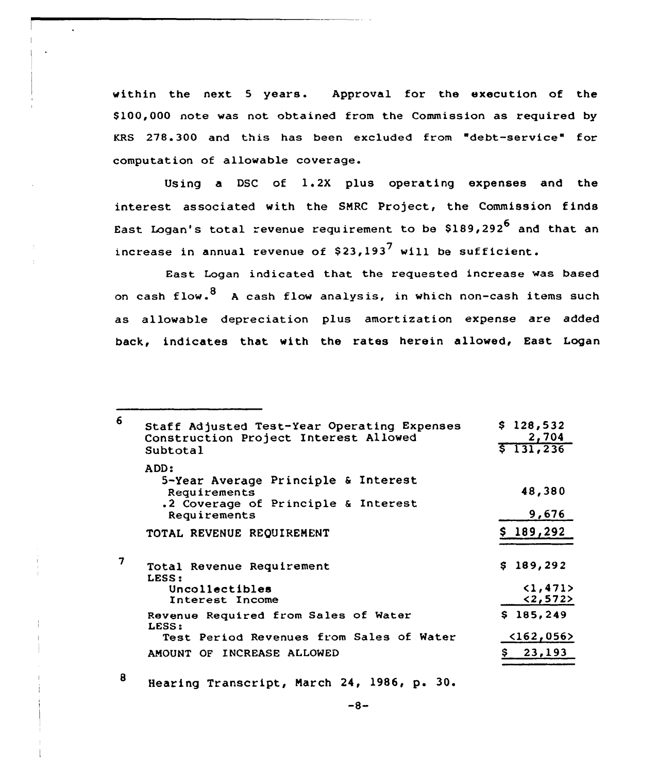within the next <sup>5</sup> years. Approval for the execution of the \$ 100,000 note was not obtained from the Commission as required by KRS 278.300 and this has been excluded from "debt-service" for computation of allowable coverage.

Using a DSC of 1.2X plus operating expenses and the interest associated with the SNRC Project, the Commission finds East Logan's total revenue requirement to be  $$189,292^6$  and that an increase in annual revenue of  $$23,193^7$  will be sufficient.

East Logan indicated that the requested increase was based on cash flow.  $8\,$  A cash flow analysis, in which non-cash items such as allowable depreciation plus amortization expense are added back, indicates that with the rates herein allowed, East Logan

| 6 | Staff Adjusted Test-Year Operating Expenses<br>Construction Project Interest Allowed<br>Subtotal                   | \$128,532<br>2,704<br>5131, 236  |
|---|--------------------------------------------------------------------------------------------------------------------|----------------------------------|
|   | ADD:<br>5-Year Average Principle & Interest<br>Requirements<br>.2 Coverage of Principle & Interest<br>Requirements | 48,380<br>9,676                  |
|   | TOTAL REVENUE REQUIREMENT                                                                                          | \$189,292                        |
| 7 | Total Revenue Requirement<br>LESS:<br>Uncollectibles<br>Interest Income                                            | \$189,292<br>(1, 471)<br><2,572> |
|   | Revenue Required from Sales of Water<br>LESS:<br>Test Period Revenues from Sales of Water                          | \$185,249<br>$162,056>$          |
|   | AMOUNT OF INCREASE ALLOWED                                                                                         | 23,193                           |

8 Hearing Transcript, March 24, 1986, p. 30.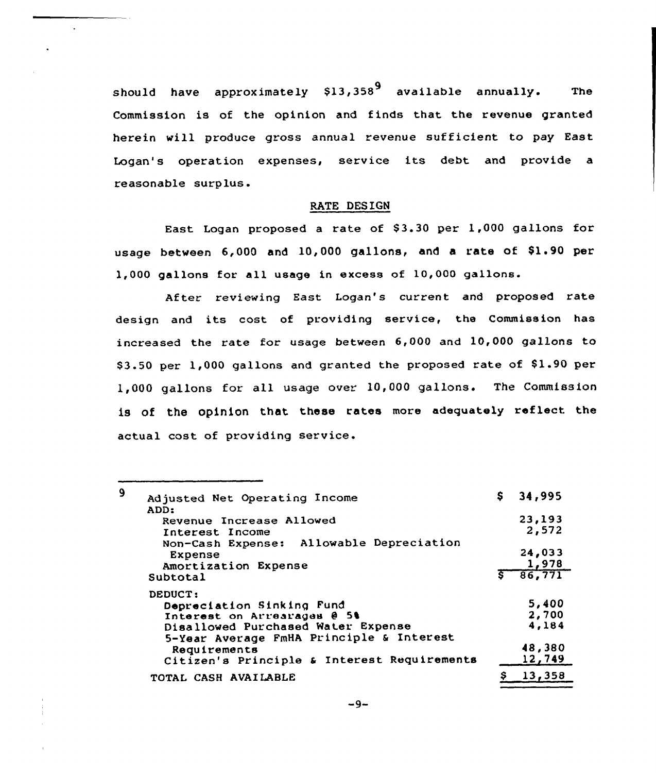should have approximately  $$13,358<sup>9</sup>$  available annually. The Commission is of the opinion and finds that the revenue granted herein will produce gross annual revenue sufficient to pay East Logan's operation expenses, service its debt and provide a reasonable surplus.

# RATE DESIGN

East Logan proposed a rate of \$3.30 per 1,000 gallons for usage between 6,000 and 10,000 gallons, and a rate of \$1.90 per 1,000 gallons for all usage in excess of 10,000 gallons.

After reviewing East Logan's current and proposed rate design and its cost of providing service, the Commission has increased the rate for usage between 6,000 and 10,000 gallons to \$3.50 per 1,000 gallons and granted the proposed rate of \$1.90 per 1,000 gallons for all usage over 10,000 gallons. The Commission is of the opinion that these rates more adequately reflect the actual cost of providing service.

|                                             |                                                                                                                                                                                                                                                                                                                                                          | 34,995 |
|---------------------------------------------|----------------------------------------------------------------------------------------------------------------------------------------------------------------------------------------------------------------------------------------------------------------------------------------------------------------------------------------------------------|--------|
| ADD:                                        |                                                                                                                                                                                                                                                                                                                                                          |        |
|                                             |                                                                                                                                                                                                                                                                                                                                                          | 23,193 |
|                                             |                                                                                                                                                                                                                                                                                                                                                          | 2,572  |
|                                             |                                                                                                                                                                                                                                                                                                                                                          |        |
|                                             |                                                                                                                                                                                                                                                                                                                                                          | 24,033 |
|                                             |                                                                                                                                                                                                                                                                                                                                                          | 1,978  |
| Subtotal                                    |                                                                                                                                                                                                                                                                                                                                                          | 86,771 |
| DEDUCT:                                     |                                                                                                                                                                                                                                                                                                                                                          |        |
|                                             |                                                                                                                                                                                                                                                                                                                                                          | 5,400  |
|                                             |                                                                                                                                                                                                                                                                                                                                                          | 2,700  |
|                                             |                                                                                                                                                                                                                                                                                                                                                          | 4,184  |
|                                             |                                                                                                                                                                                                                                                                                                                                                          |        |
|                                             |                                                                                                                                                                                                                                                                                                                                                          | 48,380 |
| Citizen's Principle & Interest Requirements |                                                                                                                                                                                                                                                                                                                                                          | 12,749 |
|                                             |                                                                                                                                                                                                                                                                                                                                                          | 13,358 |
|                                             | Adjusted Net Operating Income<br>Revenue Increase Allowed<br>Interest Income<br>Non-Cash Expense: Allowable Depreciation<br><b>Expense</b><br>Amortization Expense<br>Depreciation Sinking Fund<br>Interest on Arrearages @ 5%<br>Disallowed Purchased Water Expense<br>5-Year Average FmHA Principle & Interest<br>Requirements<br>TOTAL CASH AVAILABLE |        |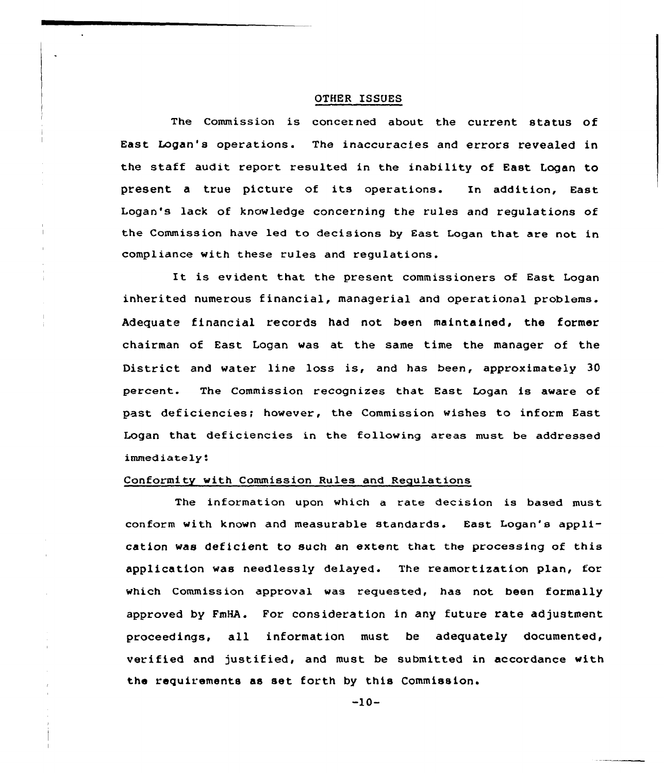### OTHER ISSUES

The Commission is concerned about the current status of East Logan's operations. The inaccuracies and errors revealed in the staff audit report resulted in the inability of East Logan to present <sup>a</sup> true picture of its operations. In addition, East Logan's lack of knowledge concerning the rules and regulations of the Commission have led to decisions by East Logan that are not in compliance with these rules and regulations.

It is evident that the present commissioners of East Logan inherited numerous financial, managerial and operational problems. Adequate financial records had not been maintained, the former chairman of East Logan was at the same time the manager of the District and water line loss is, and has been, approximately 30 percent. The Commission recognizes that East Logan is aware of past deficiencies; however, the Commission wishes to inform East Logan that deficiencies in the following areas must be addressed immediately'.

### Conformity with Commission Rules and Regulations

The information upon which a rate decision is based must conform with known and measurable standards. East Logan's application was deficient to such an extent that the processing of this application was needlessly delayed. The reamortization plan, for which Commission approval was requested, has not been formally approved by FmHA. For consideration in any future rate adjustment proceedings, all information must be adequately documented, verified and justified, and must be submitted in accordance with the requirements as set forth by this Commission.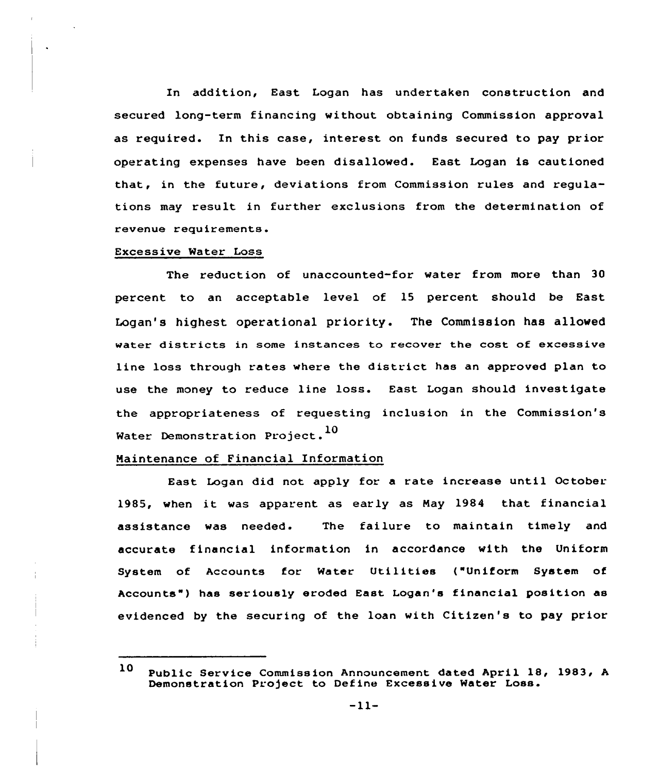In addition, East Logan has undertaken construction and secured long-term financing without obtaining Commission approval as required. In this case, interest on funds secured to pay prior operating expenses have been disallowed. East Logan is cautioned that, in the future, deviations from Commission rules and regulations may result in further exclusions from the determination of revenue requirements.

### Excessive Water Loss

The reduction of unaccounted-for water from more than 30 percent to an acceptable level of 15 percent should be East Logan's highest operational priority. The Commission has allowed water districts in some instances to recover the cost of excessive line loss through rates where the district has an approved plan to use the money to reduce line loss. East Logan should investigate the appropriateness of requesting inclusion in the Commission's Water Demonstration Project.<sup>10</sup>

### Maintenance of Financial Information

East Logan did not apply for a rate increase until October. 1985, when it was apparent as early as May <sup>1984</sup> that financial assistance was needed. The failure to maintain timely and accurate financial information in accordance with the Uniform System of Accounts for Water Utilities ("Uniform System of Accounts") has seriously eroded East Logan's financial position as evidenced by the securing of the loan with Citizen's to pay prior

<sup>10</sup> Public Service Commission Announcement dated April 18, 1983, A Demonstration Project to Define Excessive Water Loss.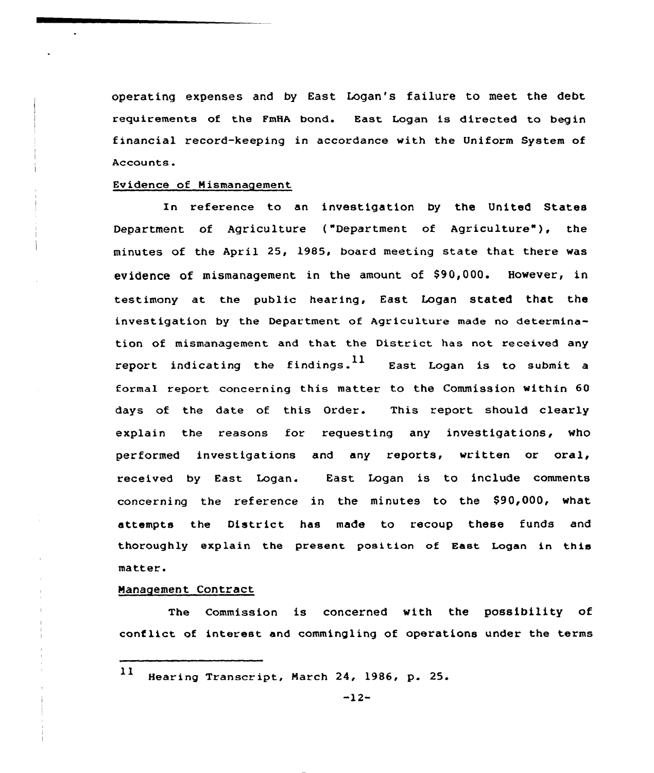operating expenses and by East Logan's failure to meet the debt requirements of the FmHA bond. East Logan is directed to begin financial record-keeping in accordance with the Uniform System of Accounts.

### Evidence of Mismanagement

In reference to an investigation by the United States Department of Agriculture ("Department of Agriculture"), the minutes of the April 25, 1985, board meeting state that there was evidence of mismanagement in the amount of \$90,000. However, in testimony at the public hearing, East Logan stated that the investigation by the Department of Agriculture made no determination of mismanagement and that the District has not received any report indicating the findings.<sup>11</sup> East Logan is to submit a formal report concerning this matter to the Commission within 60 days of the date of this Order. This report should clearly explain the reasons for requesting any investigations, who performed investigations and any reports, written or oral, received by East Logan. East Logan is to include comments concerning the reference in the minutes to the \$90,000, what attempts the District has made to recoup these funds and thoroughly explain the present position of East Logan in this matter.

## Management Contract

The Commission is concerned with the possibility of conf lict of interest and commingling of operations under the terms

11 Hearing Transcript, Narch 24, 1986, p. 25.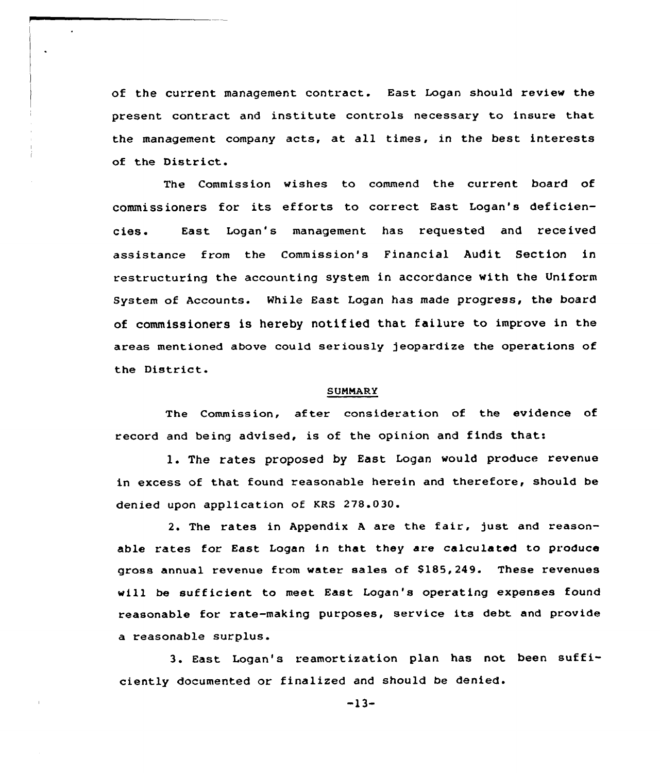of the current management contract. East Logan should review the present contract and institute controls necessary to insure that the management company acts, at all times, in the best interests of the District.

The Commission wishes to commend the current board of commissioners for its efforts to correct East Logan's deficiencies. East Logan's management has requested and received assistance from the Commission's Financial Audit Section in restructuring the accounting system in accordance with the Uniform System of Accounts. While East Logan has made progress, the board of commissioners is hereby notified that failure to improve in the areas mentioned above could seriously jeopardize the operations of the District.

#### **SUMMARY**

The Commission, after consideration of the evidence of record and being advised, is of the opinion and finds that:

1. The rates proposed by East Logan would produce revenue in excess of that found reasonable herein and therefore, should be denied upon application of KRS 278.030.

2. The rates in Appendix <sup>A</sup> are the fair, just and reasonable rates for East Logan in that they are calculated to produce gross annual revenue from water sales of \$185,249. These revenues will be sufficient to meet East Logan's operating expenses found reasonable for rate-making purposes, service its debt and provide a reasonable surplus.

3. East Logan's reamortization plan has not been sufficiently documented or finalized and should be denied.

-13-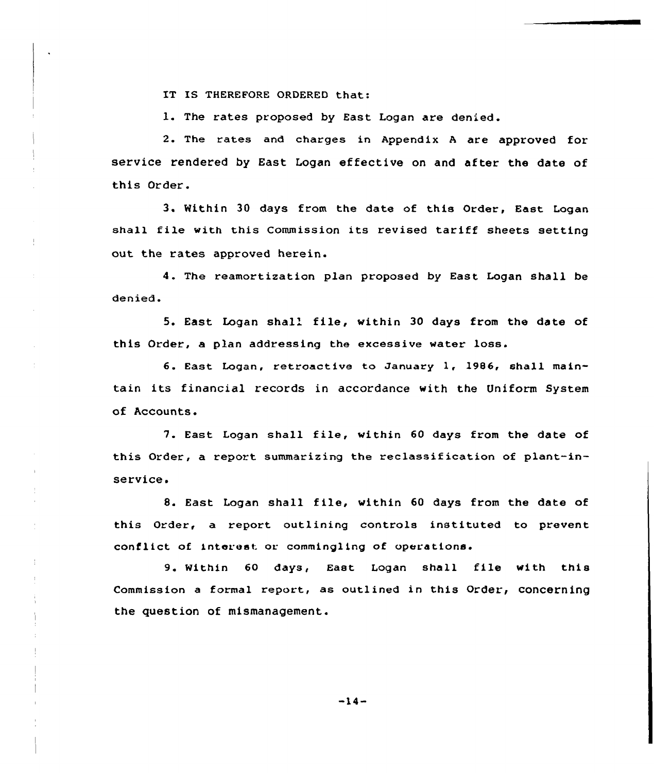IT IS THEREFORE ORDERED that:

1. The rates proposed by East Logan are denied.

2. The rates and charges in Appendix <sup>A</sup> are approved for service rendered by East Logan effective on and after the date of this Order.

3. Within 30 days from the date of this Order, East Logan shall file with this Commission its revised tariff sheets setting out the rates approved herein.

4. The reamortization plan proposed by East Logan shall be denied.

5. East Logan shall file, within 30 days from the date of this Order, a plan addressing the excessive water loss.

6. East Logan, retroactive to January 1, 1986, shall maintain its financial records in accordance with the Uniform System of Accounts.

7. East Logan shall file, within <sup>60</sup> days from the date of this Order, a report summarizing the reclassification of plant-inservice.

8. East Logan shall file, within <sup>60</sup> days from the date of this Order, a report outlining controls instituted to prevent conflict of interest or commingling of operations.

9. Within 60 days, East Logan shall file with this Commission a formal report, as outlined in this Order, concerning the question of mismanagement.

 $-14-$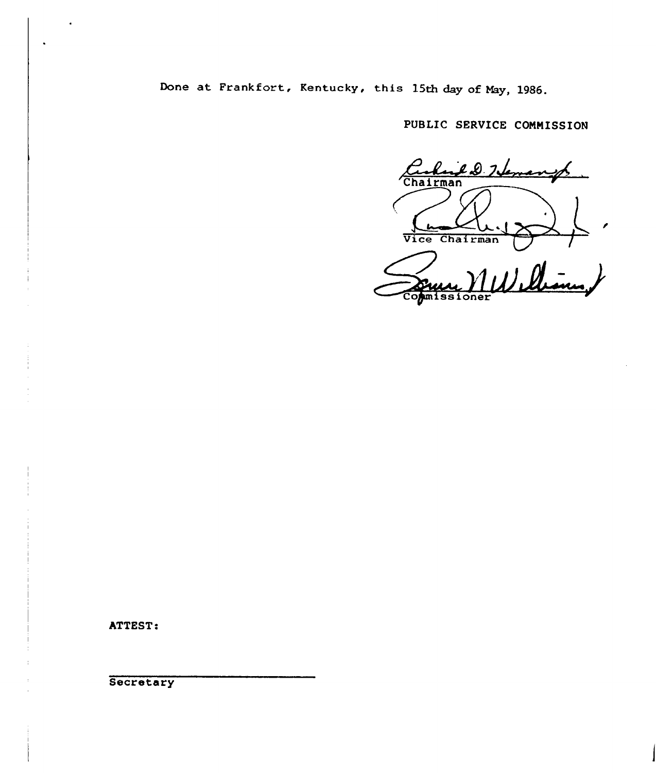Done at Frankfort, Kentucky, this 15th day of May, 1986.

PUBLIC SERVICE COMMISSION

Chairman<br>Vice Chairman ~ /

MWilliam, **Commissioner** 

ATTEST:

**Secretary**